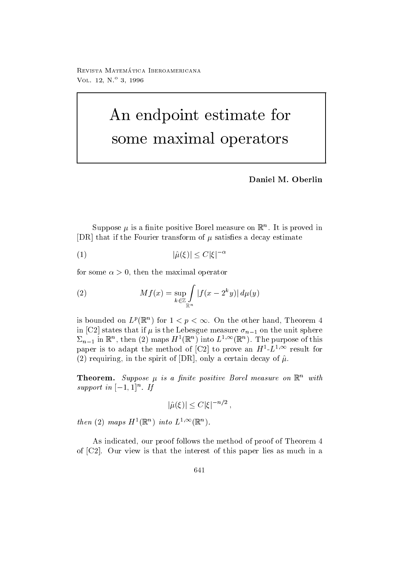reprisonal matematica - abbateonimbate ontare VOL. 12,  $N^{o}$  3, 1996

# An endpoint estimate for some maximal operators

Daniel M. Oberlin

Suppose  $\mu$  is a linite positive borel measure on  $\mathbb R$ . It is proved in DR that if the Fourier transform of satis-es a decay estimate

$$
(1) \qquad \qquad |\hat{\mu}(\xi)| \le C |\xi|^{-\alpha}
$$

for some then the maximal operator

(2) 
$$
Mf(x) = \sup_{k \in \mathbb{Z}} \int_{\mathbb{R}^n} |f(x - 2^k y)| d\mu(y)
$$

is bounded on  $L^p(\mathbb{R}^n)$  for  $1 \leq p \leq \infty$ . On the other hand, Theorem 4 in [C2] states that if  $\mu$  is the Lebesgue measure  $\sigma_{n-1}$  on the unit sphere  $\sum_{n=1}^{\infty}$  in  $\mathbb{R}^n$ , then (2) maps  $H^{-1}(\mathbb{R}^n)$  into  $L^{-1}$  ( $\mathbb{R}^n$ ). The purpose of this paper is to adapt the method of  $\bigcup_{i=1}^{\infty}$  to prove an  $H$  -  $L$  result for (2) requiring, in the spirit of [DR], only a certain decay of  $\hat{\mu}$ .

**Theorem.** Suppose  $\mu$  is a finite positive Borel measure on  $\mathbb{R}$  with  $support$  in  $[-1, 1]$  . If

$$
|\hat{\mu}(\xi)| \le C |\xi|^{-n/2},
$$

then (2) maps  $H^-(\mathbb{R}^+)$  theo  $L^{-,\infty}(\mathbb{R}^+)$ .

As indicated, our proof follows the method of proof of Theorem 4 of  $[C2]$ . Our view is that the interest of this paper lies as much in a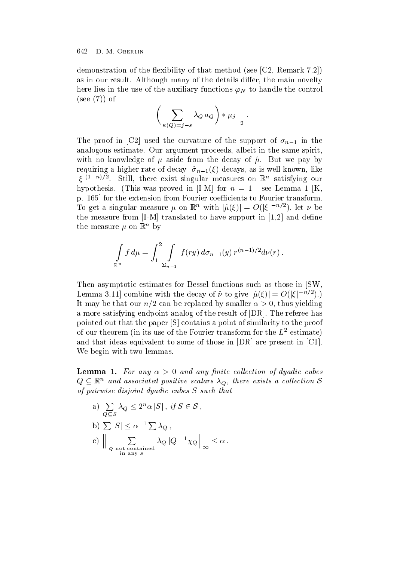demonstration of the flexibility of that method (see  $[C2, Remark 7.2]$ ) as in our result. Although many of the details differ, the main novelty here lies in the use of the auxiliary functions  $\varphi_N$  to handle the control  $(see (7))$  of

$$
\left\| \left( \sum_{\kappa(Q)=j-s} \lambda_Q a_Q \right) \ast \mu_j \right\|_2.
$$

The proof in [C2] used the curvature of the support of  $\sigma_{n-1}$  in the analogous estimate. Our argument proceeds, albeit in the same spirit with no knowledge of  $\mu$  aside from the decay of  $\hat{\mu}$ . But we pay by requires a higher rate of decays and decays as is well as is as is well as is a significant constant of decays  $\mu$  $|\xi|^{(1-n)/2}$ . Still, there exist singular measures on  $\mathbb{R}^n$  satisfying our hypothesis. (This was proved in [I-M] for  $n = 1$  - see Lemma 1 [K. p. 165 for the extension from Fourier coefficients to Fourier transform. To get a singular measure  $\mu$  on  $\mathbb{R}^n$  with  $|\hat{\mu}(\xi)| = O(|\xi|^{-n/2})$ , let  $\nu$  be the measure from IM translated to have support in  and de-ne the measure  $\mu$  on  $\mathbb{R}^n$  by

$$
\int_{\mathbb{R}^n} f d\mu = \int_1^2 \int_{\Sigma_{n-1}} f(ry) d\sigma_{n-1}(y) r^{(n-1)/2} d\nu(r).
$$

Then asymptotic estimates for Bessel functions such as those in [SW]. Lemma 3.11] combine with the decay of  $\hat{\nu}$  to give  $|\hat{\mu}(\xi)| = O(|\xi|^{-n/2}).$ It may be the three canonical by smaller  $\mathbf r$  and  $\mathbf r$  are placed by smaller  $\mathbf r$ a more satisfying endpoint analog of the result of  $[DR]$ . The referee has pointed out that the paper  $[S]$  contains a point of similarity to the proof of our theorem (in its use of the Fourier transform for the  $L$  -estimate)  $\overline{\phantom{a}}$ and that ideas equivalent to some of those in  $[DR]$  are present in  $[Cl]$ . We begin with two lemmas.

 $\bf n$  and  $\bf n$  is the angle  $\lambda$  of any any phase concentral of against caves  $Q \subseteq \mathbb{R}^n$  and associated positive scalars  $\lambda_Q$ , there exists a collection S of pairwise disjoint diplomatic cubes S such that the such that the such that the such that the such that the

a)  $\sum \lambda_0 \leq 2^n \alpha |S|$ , if and the contract of the contract of the contract of the contract of the contract of the contract of the contract of the contract of the contract of the contract of the contract of the contract of the contract of the contra  $\lambda_Q \leq 2^n \alpha |S|$  , if  $S \in \mathcal{S}$  , b)  $\sum |S| \leq \alpha^{-1} \sum \lambda_Q$ , c)  $\begin{vmatrix} \frac{1}{2} & \lambda_Q & |Q|^{-1}\chi_Q \end{vmatrix}$  $\sum_{\substack{Q \text{ not contained} \ \text{in any } S}} \lambda_Q |Q|^{-1} \chi_Q \Big\|_{\infty} \leq \alpha \ .$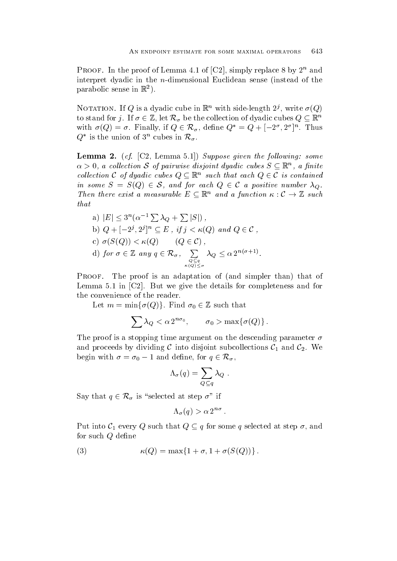PROOF. In the proof of Lemma 4.1 of  $|\nabla Z|$ , simply replace  $\delta$  by  $Z$  and interpret dyadic in the *n*-dimensional Euclidean sense (instead of the parabolic sense in  $\mathbb{R}^-$ .

INOTATION. If  $Q$  is a dyadic cube in  $\mathbb{R}^n$  with side-length  $Z'$ , write  $\theta$  ( $Q$ ) to stand for j. If  $\sigma \in \mathbb{Z}$ , let  $\mathcal{R}_{\sigma}$  be the collection of dyadic cubes  $Q \subseteq \mathbb{R}^n$ with  $\sigma(Q) = \sigma$ . Finally, if  $Q \in \mathcal{R}_{\sigma}$ , define  $Q^* = Q + (-2^{\sigma}, 2^{\sigma})^n$ . Thus  $Q^*$  is the union of  $3^n$  cubes in  $\mathcal{R}_{\sigma}$ .

**Lemma 4.** (cf.  $|\nabla z|$ , Lemma 0.1]) suppose given the following. Some  $\alpha > 0$ , a collection S of pairwise disjoint dyadic cubes  $S \subseteq \mathbb{R}^n$ , a finite collection C of dyadic cubes  $Q \subseteq \mathbb{R}^n$  such that each  $Q \in \mathcal{C}$  is contained in some  $S = S(Q) \in \mathcal{S}$ , and for each  $Q \in \mathcal{C}$  a positive number  $\lambda_Q$ . Then there exist a measurable  $E \subseteq \mathbb{R}^n$  and a function  $\kappa : \mathcal{C} \to \mathbb{Z}$  such that

a) 
$$
|E| \leq 3^n (\alpha^{-1} \sum \lambda_Q + \sum |S|)
$$
,  
\nb)  $Q + [-2^j, 2^j]^n \subseteq E$ , if  $j < \kappa(Q)$  and  $Q \in C$ ,  
\nc)  $\sigma(S(Q)) < \kappa(Q)$   $(Q \in C)$ ,  
\nd) for  $\sigma \in \mathbb{Z}$  any  $q \in \mathcal{R}_{\sigma}$ ,  $\sum_{Q \subseteq q \atop \kappa(Q) < \sigma} \lambda_Q \leq \alpha 2^{n(\sigma+1)}$ .

Proof- The proof is an adaptation of and simpler than that of Lemma 5.1 in  $\lbrack$  C2  $\rbrack$ . But we give the details for completeness and for the convenience of the reader

Let  $m = \min\{\sigma(Q)\}\.$  Find  $\sigma_0 \in \mathbb{Z}$  such that

$$
\sum \lambda_Q < \alpha \, 2^{n\sigma_0}, \qquad \sigma_0 > \max\{\sigma(Q)\} \, .
$$

The proof is a stopping time argument on the descending parameter  $\sigma$ and proceeds by dividing C into disjoint subcollections  $\mathcal{C}_1$  and  $\mathcal{C}_2$ . We begin with  $\sigma = \sigma_0 - 1$  and define, for  $q \in \mathcal{R}_{\sigma}$ ,

$$
\Lambda_{\sigma}(q) = \sum_{Q \subseteq q} \lambda_Q \ .
$$

Say that  $q \in \mathcal{R}_{\sigma}$  is "selected at step  $\sigma$ " if

$$
\Lambda_{\sigma}(q) > \alpha 2^{n\sigma} .
$$

Put into  $C_1$  every Q such that  $Q \subseteq q$  for some q selected at step  $\sigma$ , and for such  $Q$  define

(3) 
$$
\kappa(Q) = \max\{1+\sigma, 1+\sigma(S(Q))\}.
$$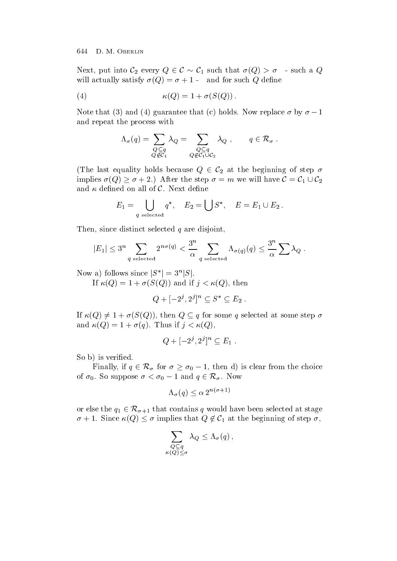Next, put into  $\mathcal{C}_2$  every  $Q \in \mathcal{C} \sim \mathcal{C}_1$  such that  $\sigma(Q) > \sigma$  - such a  $Q$ will actually satisfy  $\mathcal{M}$  and  $\mathcal{M}$  and  $\mathcal{M}$  defined by the such  $\mathcal{M}$ 

$$
\kappa(Q) = 1 + \sigma(S(Q)).
$$

Note that (3) and (4) guarantee that (c) holds. Now replace  $\sigma$  by  $\sigma - 1$ and repeat the process with

$$
\Lambda_{\sigma}(q) = \sum_{\substack{Q \subseteq q \\ Q \notin \mathcal{C}_1}} \lambda_Q = \sum_{\substack{Q \subseteq q \\ Q \notin \mathcal{C}_1 \cup \mathcal{C}_2}} \lambda_Q , \qquad q \in \mathcal{R}_{\sigma} .
$$

(The last equality holds because  $Q \in \mathcal{C}_2$  at the beginning of step  $\sigma$ implies  $\sigma(Q) \ge \sigma + 2$ .) After the step  $\sigma = m$  we will have  $\mathcal{C} = \mathcal{C}_1 \cup \mathcal{C}_2$ and  $\kappa$  defined on all of  $\cal C$ . Next define

$$
E_1 = \bigcup_{q \text{ selected}} q^*, \quad E_2 = \bigcup S^*, \quad E = E_1 \cup E_2.
$$

Then, since distinct selected  $q$  are disjoint,

$$
|E_1| \le 3^n \sum_{q \text{ selected}} 2^{n\sigma(q)} < \frac{3^n}{\alpha} \sum_{q \text{ selected}} \Lambda_{\sigma(q)}(q) \le \frac{3^n}{\alpha} \sum \lambda_Q.
$$

Now a) follows since  $|S^*| = 3^n |S|$ .

If  $\kappa(Q) = 1 + \sigma(S(Q))$  and if  $j < \kappa(Q)$ , then

$$
Q + [-2^j, 2^j]^n \subseteq S^* \subseteq E_2 .
$$

If  $\kappa(Q) \neq 1 + \sigma(S(Q))$ , then  $Q \subseteq q$  for some q selected at some step  $\sigma$ and  $\kappa(Q) = 1 + \sigma(q)$ . Thus if  $j < \kappa(Q)$ ,

$$
Q + [-2^j, 2^j]^n \subseteq E_1 .
$$

So b is veri-ed

Finally, if  $q \in \mathcal{R}_{\sigma}$  for  $\sigma \geq \sigma_0 - 1$ , then d) is clear from the choice of  $\sigma_0$ . So suppose  $\sigma < \sigma_0 - 1$  and  $q \in \mathcal{R}_\sigma$ . Now

$$
\Lambda_{\sigma}(q) \le \alpha 2^{n(\sigma+1)}
$$

or else the  $q_1 \in \mathcal{R}_{\sigma+1}$  that contains q would have been selected at stage  $\sigma + 1$ . Since  $\kappa(Q) \leq \sigma$  implies that  $Q \notin C_1$  at the beginning of step  $\sigma$ ,

$$
\sum_{\substack{Q \subseteq q \\ \kappa(Q) \leq \sigma}} \lambda_Q \leq \Lambda_\sigma(q) \,,
$$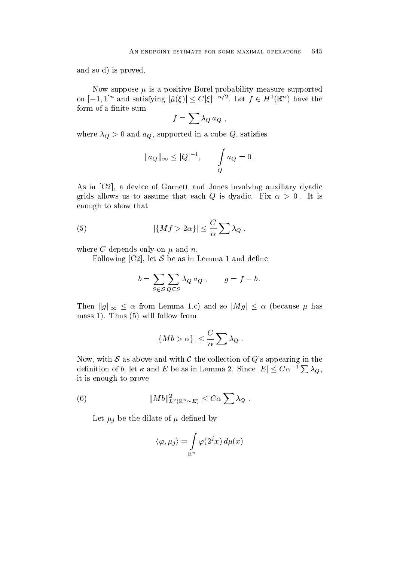and so d) is proved.

Now suppose  $\mu$  is a positive Borel probability measure supported on  $[-1,1]^n$  and satisfying  $|\hat{\mu}(\xi)| \leq C |\xi|^{-n/2}$ . Let  $f \in H^1(\mathbb{R}^n)$  have the

$$
f=\sum\lambda_Q\,a_Q\ ,
$$

where we are the cube  $\mathbf{w}$ 

$$
\|a_Q\|_\infty \le |Q|^{-1}, \qquad \int\limits_Q a_Q = 0\,.
$$

As in [C2], a device of Garnett and Jones involving auxiliary dyadic  $\alpha$  is a summer that each contract  $\alpha$  is dynamical  $\alpha$  is defined as a summer  $\alpha$  is defined as enough to show that

(5) 
$$
|\{Mf>2\alpha\}|\leq \frac{C}{\alpha}\sum \lambda_Q,
$$

where C depends only on  $\mu$  and n.

Following [C2], let S be as in Lemma 1 and define

$$
b = \sum_{S \in \mathcal{S}} \sum_{Q \subseteq S} \lambda_Q a_Q , \qquad g = f - b .
$$

Then  $\|g\|_{\infty} \le \alpha$  from Lemma 1.c) and so  $|Mg| \le \alpha$  (because  $\mu$  has mass 1). Thus  $(5)$  will follow from

$$
|\{Mb > \alpha\}| \leq \frac{C}{\alpha} \sum \lambda_Q.
$$

Now, with S as above and with C the collection of Q's appearing in the definition of b, let  $\kappa$  and  $E$  be as in Lemma 2. Since  $|E| \leq C \alpha^{-1} \sum \lambda_Q$ , it is enough to prove

(6) 
$$
||Mb||_{L^2(\mathbb{R}^n \sim E)}^2 \leq C\alpha \sum \lambda_Q.
$$

let i be the distribution of the distribution of  $\mathcal{P}_\mathcal{A}$ 

$$
\langle \varphi, \mu_j \rangle = \int_{\mathbb{R}^n} \varphi(2^j x) \, d\mu(x)
$$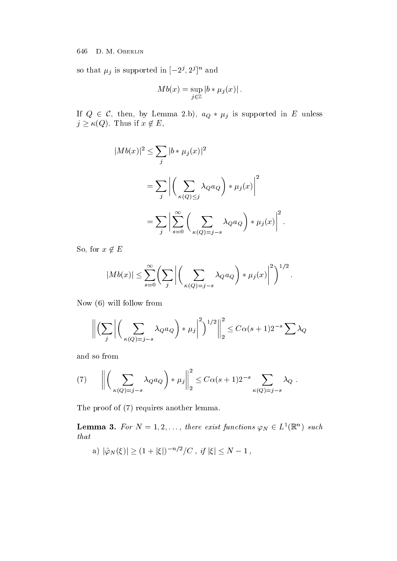so that  $\mu_j$  is supported in  $[-2^j, 2^j]$  and

$$
Mb(x)=\sup_{j\in\mathbb{Z}}\left|b*\mu_j(x)\right|.
$$

If  $Q \in \mathcal{C}$ , then, by Lemma 2.b),  $a_Q * \mu_j$  is supported in E unless  $j \geq \kappa(Q)$ . Thus if  $x \notin E$ ,

$$
|Mb(x)|^2 \leq \sum_{j} |b * \mu_j(x)|^2
$$
  
= 
$$
\sum_{j} \left| \left( \sum_{\kappa(Q) \leq j} \lambda_Q a_Q \right) * \mu_j(x) \right|^2
$$
  
= 
$$
\sum_{j} \left| \sum_{s=0}^{\infty} \left( \sum_{\kappa(Q) = j - s} \lambda_Q a_Q \right) * \mu_j(x) \right|^2.
$$

So, for  $x \notin E$ 

$$
|Mb(x)| \leq \sum_{s=0}^{\infty} \left( \sum_{j} \left| \left( \sum_{\kappa(Q)=j-s} \lambda_Q a_Q \right) * \mu_j(x) \right|^2 \right)^{1/2}.
$$

Now  $(6)$  will follow from

$$
\left\| \left( \sum_{j} \left| \left( \sum_{\kappa(Q)=j-s} \lambda_Q a_Q \right) \ast \mu_j \right|^2 \right)^{1/2} \right\|_2^2 \leq C \alpha (s+1) 2^{-s} \sum_{Q} \lambda_Q
$$

and so from

(7) 
$$
\left\| \left( \sum_{\kappa(Q)=j-s} \lambda_Q a_Q \right) * \mu_j \right\|_2^2 \leq C \alpha (s+1) 2^{-s} \sum_{\kappa(Q)=j-s} \lambda_Q.
$$

The proof of  $(7)$  requires another lemma.

**Lemma 3.** For  $N = 1, 2, \ldots$ , there exist functions  $\varphi_N \in L^1(\mathbb{R}^n)$  such that

a)  $|\hat{\varphi}_N(\xi)| \ge (1 + |\xi|)^{-n/2}/C$ , if  $|\xi| \le N - 1$ ,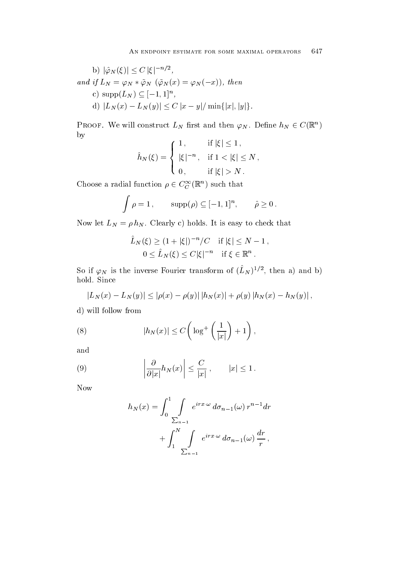b) 
$$
|\hat{\varphi}_N(\xi)| \le C |\xi|^{-n/2}
$$
,  
and if  $L_N = \varphi_N * \tilde{\varphi}_N (\tilde{\varphi}_N(x) = \varphi_N(-x))$ , then  
c)  $\text{supp}(L_N) \subseteq [-1,1]^n$ ,  
d)  $|L_N(x) - L_N(y)| \le C |x - y| / \min\{|x|, |y|\}$ .

PROOF. We will construct  $L_N$  first and then  $\varphi_N$ . Define  $h_N \in C(\mathbb{R}^n)$ by

$$
\hat{h}_N(\xi) = \begin{cases} 1, & \text{if } |\xi| \le 1, \\ |\xi|^{-n}, & \text{if } 1 < |\xi| \le N, \\ 0, & \text{if } |\xi| > N. \end{cases}
$$

Choose a radial function  $\rho \in C_C^\infty(\mathbb{R}^n)$  such that

$$
\int \rho = 1, \qquad \text{supp}(\rho) \subseteq [-1, 1]^n, \qquad \hat{\rho} \ge 0.
$$

Now let  $L_N = \rho h_N$ . Clearly c) holds. It is easy to check that

$$
\hat{L}_N(\xi) \ge (1 + |\xi|)^{-n} / C \quad \text{if } |\xi| \le N - 1,
$$
  
  $0 \le \hat{L}_N(\xi) \le C |\xi|^{-n} \quad \text{if } \xi \in \mathbb{R}^n.$ 

So if  $\varphi_N$  is the inverse Fourier transform of  $(L_N)^{-1}$ , then a) and b) hold. Since

$$
|L_N(x) - L_N(y)| \le |\rho(x) - \rho(y)| |h_N(x)| + \rho(y) |h_N(x) - h_N(y)|,
$$
  
d) will follow from

(8) 
$$
|h_N(x)| \leq C \left( \log^+ \left( \frac{1}{|x|} \right) + 1 \right),
$$

and

(9) 
$$
\left|\frac{\partial}{\partial |x|}h_N(x)\right| \leq \frac{C}{|x|}, \qquad |x| \leq 1.
$$

Now

$$
h_N(x) = \int_0^1 \int \limits_{\sum_{n=1}^N} e^{irx \cdot \omega} d\sigma_{n-1}(\omega) r^{n-1} dr
$$

$$
+ \int_1^N \int \limits_{\sum_{n=1}^N} e^{irx \cdot \omega} d\sigma_{n-1}(\omega) \frac{dr}{r},
$$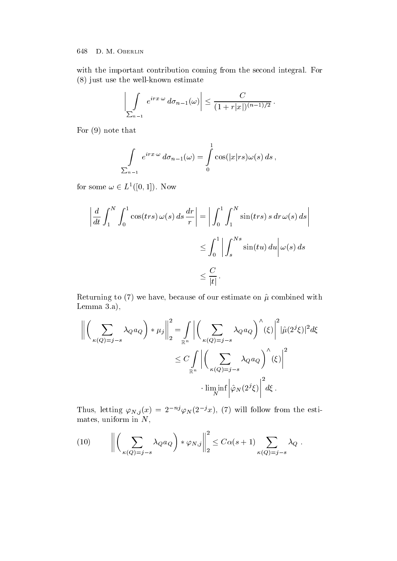with the important contribution coming from the second integral. For  $(8)$  just use the well-known estimate

$$
\left|\int\limits_{\sum_{n=1}} e^{irx \cdot \omega} d\sigma_{n-1}(\omega)\right| \leq \frac{C}{(1+r|x|)^{(n-1)/2}}.
$$

For  $(9)$  note that

$$
\int\limits_{\sum_{n=1}}e^{irx\cdot\omega}\,d\sigma_{n-1}(\omega)=\int\limits_{0}^{1}\cos(|x|rs)\omega(s)\,ds\,,
$$

for some  $\omega \in L^1([0,1])$ . Now

$$
\left| \frac{d}{dt} \int_{1}^{N} \int_{0}^{1} \cos(txs) \, \omega(s) \, ds \, \frac{dr}{r} \right| = \left| \int_{0}^{1} \int_{1}^{N} \sin(txs) \, s \, dr \, \omega(s) \, ds \right|
$$
  

$$
\leq \int_{0}^{1} \left| \int_{s}^{Ns} \sin(tu) \, du \right| \omega(s) \, ds
$$
  

$$
\leq \frac{C}{|t|}.
$$

Returning to (7) we have, because of our estimate on  $\hat{\mu}$  combined with Lemma  $3.a$ ,

$$
\left\| \left( \sum_{\kappa(Q)=j-s} \lambda_Q a_Q \right) * \mu_j \right\|_2^2 = \int_{\mathbb{R}^n} \left| \left( \sum_{\kappa(Q)=j-s} \lambda_Q a_Q \right)^\wedge (\xi) \right|^2 |\hat{\mu}(2^j \xi)|^2 d\xi
$$
  

$$
\leq C \int_{\mathbb{R}^n} \left| \left( \sum_{\kappa(Q)=j-s} \lambda_Q a_Q \right)^\wedge (\xi) \right|^2
$$
  
 
$$
\cdot \liminf_N \left| \hat{\varphi}_N(2^j \xi) \right|^2 d\xi.
$$

Thus, letting  $\varphi_{N,j}(x) = 2 \cdots \varphi_N(z \cdot x)$ , (*i*) will follow from the estimates uniform in New York and the New York and the New York and the New York and the New York and the New York

(10) 
$$
\left\| \left( \sum_{\kappa(Q)=j-s} \lambda_Q a_Q \right) * \varphi_{N,j} \right\|_2^2 \leq C \alpha(s+1) \sum_{\kappa(Q)=j-s} \lambda_Q.
$$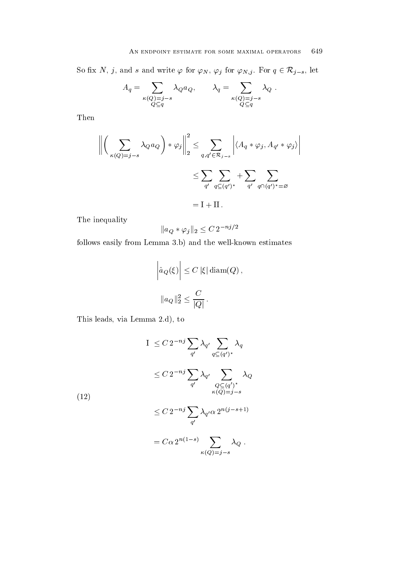So fix N, j, and s and write  $\varphi$  for  $\varphi_N$ ,  $\varphi_j$  for  $\varphi_{N,j}$ . For  $q \in \mathcal{R}_{j-s}$ , let

$$
A_q = \sum_{\substack{\kappa(Q)=j-s \\ Q \subseteq q}} \lambda_Q a_Q, \qquad \lambda_q = \sum_{\substack{\kappa(Q)=j-s \\ Q \subseteq q}} \lambda_Q.
$$

Then

$$
\left\| \left( \sum_{\kappa(Q)=j-s} \lambda_Q a_Q \right) * \varphi_j \right\|_2^2 \le \sum_{q,q'\in\mathcal{R}_{j-s}} \left| \langle A_q * \varphi_j, A_{q'} * \varphi_j \rangle \right|
$$
  

$$
\le \sum_{q'} \sum_{q\subseteq (q')^*} + \sum_{q'} \sum_{q\cap (q')^* = \varnothing}
$$
  
= I + II.

The inequality

$$
||a_Q * \varphi_j||_2 \leq C 2^{-nj/2}
$$

follows easily from Lemma  $3.b$ ) and the well-known estimates

$$
\left| \hat{a}_Q(\xi) \right| \leq C |\xi| \operatorname{diam}(Q),
$$
  

$$
\|a_Q\|_2^2 \leq \frac{C}{|Q|}.
$$

This leads, via Lemma 2.d), to

$$
I \leq C 2^{-nj} \sum_{q'} \lambda_{q'} \sum_{q \subseteq (q')^*} \lambda_q
$$
  
\n
$$
\leq C 2^{-nj} \sum_{q'} \lambda_{q'} \sum_{\substack{Q \subseteq (q')^* \\ \kappa(Q) = j - s}} \lambda_Q
$$
  
\n
$$
\leq C 2^{-nj} \sum_{q'} \lambda_{q'} \alpha 2^{n(j - s + 1)}
$$
  
\n
$$
= C \alpha 2^{n(1 - s)} \sum_{\kappa(Q) = j - s} \lambda_Q.
$$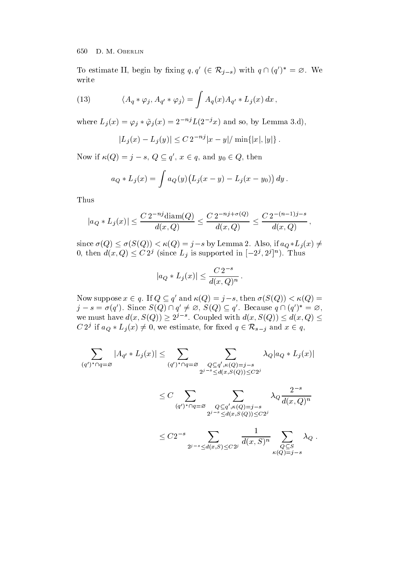To estimate II, begin by fixing  $q, q' \in \mathcal{R}_{j-s}$  with  $q \cap (q')^* = \emptyset$ . We write

(13) 
$$
\langle A_q * \varphi_j, A_{q'} * \varphi_j \rangle = \int A_q(x) A_{q'} * L_j(x) dx,
$$

where  $L_i(x) = \varphi_i * \tilde{\varphi}_i(x) = 2^{-nj} L(2^{-j}x)$  and so, by Lemma 3.d),

$$
|L_j(x) - L_j(y)| \le C 2^{-nj} |x - y| / \min\{|x|, |y|\}.
$$

Now if  $\kappa(Q) = j - s$ ,  $Q \subseteq q'$ ,  $x \in q$ , and  $y_0 \in Q$ , then

$$
a_Q * L_j(x) = \int a_Q(y) (L_j(x - y) - L_j(x - y_0)) dy.
$$

Thus

$$
|a_Q * L_j(x)| \le \frac{C 2^{-nj} \operatorname{diam}(Q)}{d(x,Q)} \le \frac{C 2^{-nj + \sigma(Q)}}{d(x,Q)} \le \frac{C 2^{-(n-1)j - s}}{d(x,Q)},
$$

since  $\sigma(Q) \leq \sigma(S(Q)) < \kappa(Q) = j - s$  by Lemma 2. Also, if  $a_Q * L_j(x) \neq 0$ 0, then  $d(x,Q) \leq C 2^j$  (since  $L_j$  is supported in  $[-2^j, 2^j]^n$ ). Thus

$$
|a_Q * L_j(x)| \leq \frac{C 2^{-s}}{d(x,Q)^n}.
$$

Now suppose  $x \in q$ . If  $Q \subseteq q'$  and  $\kappa(Q) = j - s$ , then  $\sigma(S(Q)) < \kappa(Q) =$  $j-s=\sigma(q')$ . Since  $S(Q)\cap q'\neq\varnothing$ ,  $S(Q)\subseteq q'$ . Because  $q\cap (q')^*=\varnothing$ , we must have  $d(x, S(Q)) \geq 2^{j-s}$ . Coupled with  $d(x, S(Q)) \leq d(x, Q) \leq$ C 2<sup>*j*</sup> if  $a_Q * L_i(x) \neq 0$ , we estimate, for fixed  $q \in \mathcal{R}_{s-i}$  and  $x \in q$ ,

$$
\sum_{(q')^*\cap q=\varnothing} |A_{q'}*L_j(x)| \leq \sum_{(q')^*\cap q=\varnothing} \sum_{\substack{Q\subseteq q',\kappa(Q)=j-s\\2^{j-s}\leq d(x,S(Q))\leq C2^j}} \lambda_Q |a_Q*L_j(x)|
$$
  

$$
\leq C \sum_{(q')^*\cap q=\varnothing} \sum_{\substack{Q\subseteq q',\kappa(Q)=j-s\\2^{j-s}\leq d(x,S(Q))\leq C2^j}} \lambda_Q \frac{2^{-s}}{d(x,Q)^n}
$$

$$
\leq C 2^{-s}\sum_{2^{j-s}\leq d(x,S)\leq C 2^j}\frac{1}{d(x,S)^n}\sum_{\substack{Q\subseteq S\\ \kappa(Q)=j-s}}\lambda_Q.
$$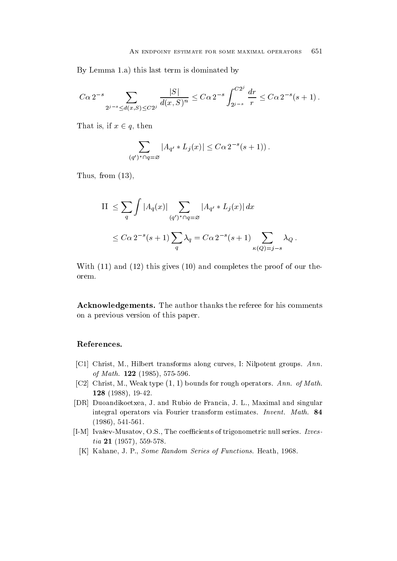By Lemma 1.a) this last term is dominated by

$$
C\alpha 2^{-s} \sum_{2^{j-s} \le d(x,S) \le C2^j} \frac{|S|}{d(x,S)^n} \le C\alpha 2^{-s} \int_{2^{j-s}}^{C2^j} \frac{dr}{r} \le C\alpha 2^{-s}(s+1).
$$

That is, if  $x \in q$ , then

$$
\sum_{(q')^*\cap q=\varnothing} |A_{q'}*L_j(x)| \leq C\alpha 2^{-s}(s+1)).
$$

Thus, from  $(13)$ ,

II 
$$
\leq \sum_{q} \int |A_q(x)| \sum_{(q')^* \cap q = \varnothing} |A_{q'} * L_j(x)| dx
$$
  
 $\leq C\alpha 2^{-s}(s+1) \sum_{q} \lambda_q = C\alpha 2^{-s}(s+1) \sum_{\kappa(Q)=j-s} \lambda_Q.$ 

with  $\alpha$  and  $\alpha$  and  $\alpha$  and  $\alpha$  and  $\alpha$  and  $\alpha$  or the proof of our the proof of our theory the proof of  $\alpha$ orem

 $\blacksquare$ on a previous version of this paper

## References-

- [C1] Christ, M., Hilbert transforms along curves, I: Nilpotent groups.  $Ann.$ of Math- --
- row, owner, car, it can if  $p$  ,  $p$  , and mathematic and  $p$  and  $p$  are  $p$  and  $p$  and  $p$ - 
 -
- [DR] Duoandikoetxea, J. and Rubio de Francia, J. L., Maximal and singular integral operators via Fourier transform estimates Invent- Math- 
-
- [I-M] Ivašev-Musatov, O.S., The coefficients of trigonometric null series. Izvestia -
	- [K] Kahane, J. P., Some Random Series of Functions. Heath, 1968.